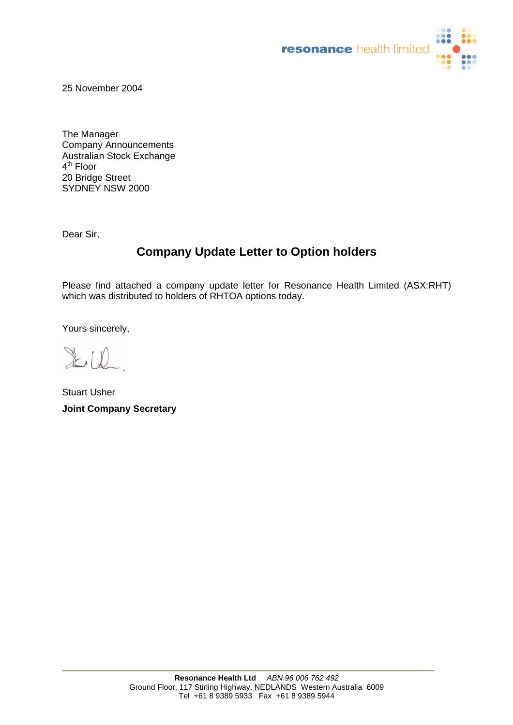

25 November 2004

The Manager Company Announcements Australian Stock Exchange 4<sup>th</sup> Floor 20 Bridge Street SYDNEY NSW 2000

Dear Sir,

## **Company Update Letter to Option holders**

Please find attached a company update letter for Resonance Health Limited (ASX:RHT) which was distributed to holders of RHTOA options today.

Yours sincerely,

 $\mathbb{R}$  (f)

Stuart Usher **Joint Company Secretary**